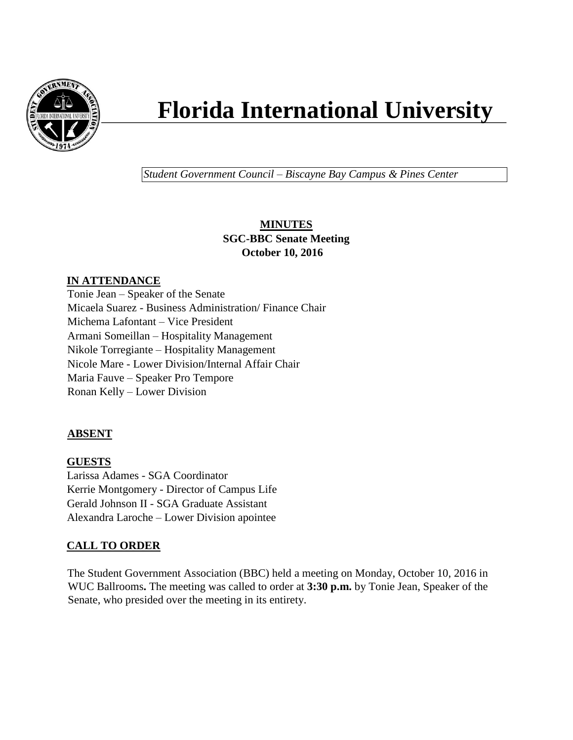

# **Florida International University**

*Student Government Council – Biscayne Bay Campus & Pines Center*

# **MINUTES SGC-BBC Senate Meeting October 10, 2016**

## **IN ATTENDANCE**

Tonie Jean – Speaker of the Senate Micaela Suarez - Business Administration/ Finance Chair Michema Lafontant – Vice President Armani Someillan – Hospitality Management Nikole Torregiante – Hospitality Management Nicole Mare - Lower Division/Internal Affair Chair Maria Fauve – Speaker Pro Tempore Ronan Kelly – Lower Division

## **ABSENT**

**GUESTS** Larissa Adames - SGA Coordinator Kerrie Montgomery - Director of Campus Life Gerald Johnson II - SGA Graduate Assistant Alexandra Laroche – Lower Division apointee

# **CALL TO ORDER**

The Student Government Association (BBC) held a meeting on Monday, October 10, 2016 in WUC Ballrooms**.** The meeting was called to order at **3:30 p.m.** by Tonie Jean, Speaker of the Senate, who presided over the meeting in its entirety.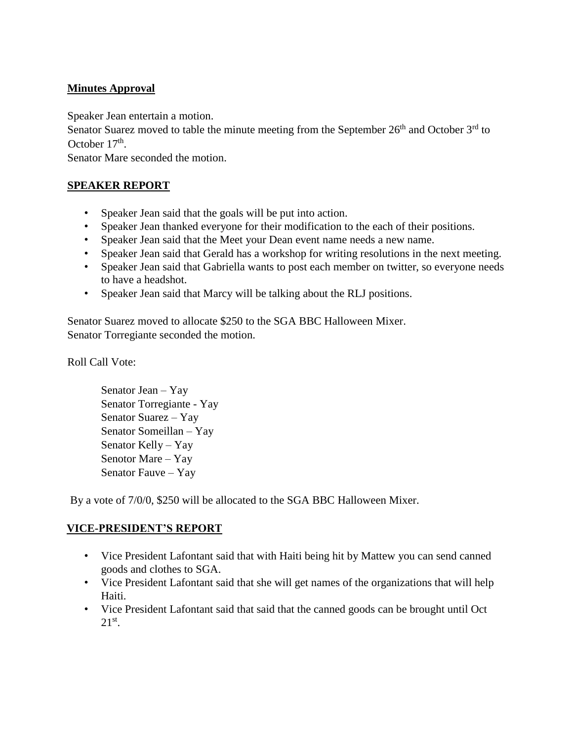## **Minutes Approval**

Speaker Jean entertain a motion.

Senator Suarez moved to table the minute meeting from the September  $26<sup>th</sup>$  and October  $3<sup>rd</sup>$  to October 17<sup>th</sup>.

Senator Mare seconded the motion.

#### **SPEAKER REPORT**

- Speaker Jean said that the goals will be put into action.
- Speaker Jean thanked everyone for their modification to the each of their positions.
- Speaker Jean said that the Meet your Dean event name needs a new name.
- Speaker Jean said that Gerald has a workshop for writing resolutions in the next meeting.
- Speaker Jean said that Gabriella wants to post each member on twitter, so everyone needs to have a headshot.
- Speaker Jean said that Marcy will be talking about the RLJ positions.

Senator Suarez moved to allocate \$250 to the SGA BBC Halloween Mixer. Senator Torregiante seconded the motion.

Roll Call Vote:

Senator Jean – Yay Senator Torregiante - Yay Senator Suarez – Yay Senator Someillan – Yay Senator Kelly – Yay Senotor Mare – Yay Senator Fauve – Yay

By a vote of 7/0/0, \$250 will be allocated to the SGA BBC Halloween Mixer.

#### **VICE-PRESIDENT'S REPORT**

- Vice President Lafontant said that with Haiti being hit by Mattew you can send canned goods and clothes to SGA.
- Vice President Lafontant said that she will get names of the organizations that will help Haiti.
- Vice President Lafontant said that said that the canned goods can be brought until Oct  $21<sup>st</sup>$ .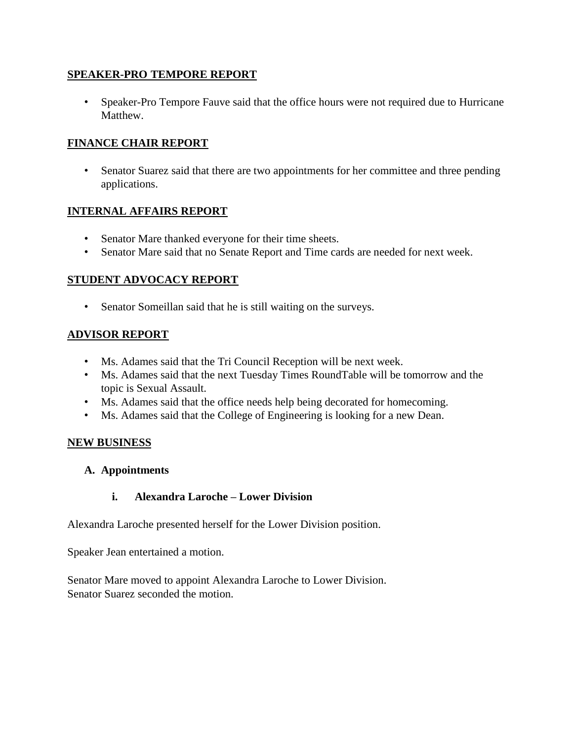#### **SPEAKER-PRO TEMPORE REPORT**

• Speaker-Pro Tempore Fauve said that the office hours were not required due to Hurricane Matthew.

#### **FINANCE CHAIR REPORT**

• Senator Suarez said that there are two appointments for her committee and three pending applications.

#### **INTERNAL AFFAIRS REPORT**

- Senator Mare thanked everyone for their time sheets.
- Senator Mare said that no Senate Report and Time cards are needed for next week.

#### **STUDENT ADVOCACY REPORT**

• Senator Someillan said that he is still waiting on the surveys.

#### **ADVISOR REPORT**

- Ms. Adames said that the Tri Council Reception will be next week.
- Ms. Adames said that the next Tuesday Times RoundTable will be tomorrow and the topic is Sexual Assault.
- Ms. Adames said that the office needs help being decorated for homecoming.
- Ms. Adames said that the College of Engineering is looking for a new Dean.

#### **NEW BUSINESS**

#### **A. Appointments**

#### **i. Alexandra Laroche – Lower Division**

Alexandra Laroche presented herself for the Lower Division position.

Speaker Jean entertained a motion.

Senator Mare moved to appoint Alexandra Laroche to Lower Division. Senator Suarez seconded the motion.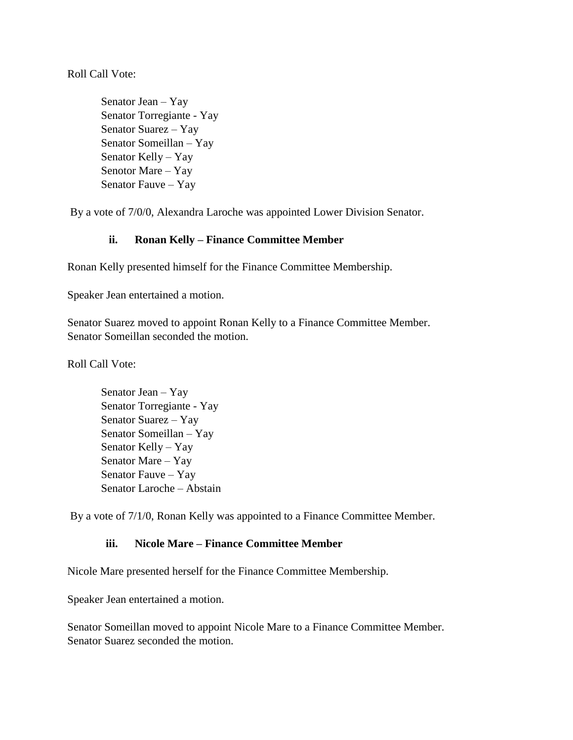Roll Call Vote:

Senator Jean – Yay Senator Torregiante - Yay Senator Suarez – Yay Senator Someillan – Yay Senator Kelly – Yay Senotor Mare – Yay Senator Fauve – Yay

By a vote of 7/0/0, Alexandra Laroche was appointed Lower Division Senator.

#### **ii. Ronan Kelly – Finance Committee Member**

Ronan Kelly presented himself for the Finance Committee Membership.

Speaker Jean entertained a motion.

Senator Suarez moved to appoint Ronan Kelly to a Finance Committee Member. Senator Someillan seconded the motion.

Roll Call Vote:

Senator Jean – Yay Senator Torregiante - Yay Senator Suarez – Yay Senator Someillan – Yay Senator Kelly – Yay Senator Mare – Yay Senator Fauve – Yay Senator Laroche – Abstain

By a vote of 7/1/0, Ronan Kelly was appointed to a Finance Committee Member.

#### **iii. Nicole Mare – Finance Committee Member**

Nicole Mare presented herself for the Finance Committee Membership.

Speaker Jean entertained a motion.

Senator Someillan moved to appoint Nicole Mare to a Finance Committee Member. Senator Suarez seconded the motion.